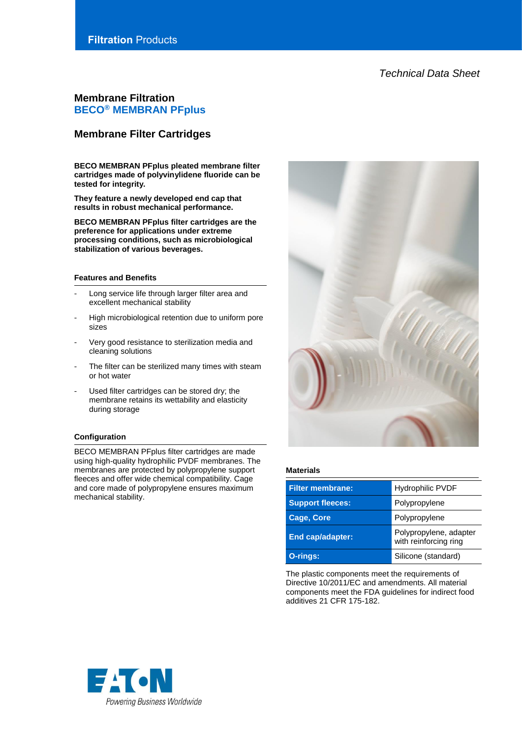# *Technical Data Sheet*

# **Membrane Filtration BECO® MEMBRAN PFplus**

# **Membrane Filter Cartridges**

**BECO MEMBRAN PFplus pleated membrane filter cartridges made of polyvinylidene fluoride can be tested for integrity.**

**They feature a newly developed end cap that results in robust mechanical performance.** 

**BECO MEMBRAN PFplus filter cartridges are the preference for applications under extreme processing conditions, such as microbiological stabilization of various beverages.**

## **Features and Benefits**

- Long service life through larger filter area and excellent mechanical stability
- High microbiological retention due to uniform pore sizes
- Very good resistance to sterilization media and cleaning solutions
- The filter can be sterilized many times with steam or hot water
- Used filter cartridges can be stored dry; the membrane retains its wettability and elasticity during storage

## **Configuration**

BECO MEMBRAN PFplus filter cartridges are made using high-quality hydrophilic PVDF membranes. The membranes are protected by polypropylene support fleeces and offer wide chemical compatibility. Cage and core made of polypropylene ensures maximum mechanical stability.



#### **Materials**

| <b>Filter membrane:</b> | <b>Hydrophilic PVDF</b>                         |  |
|-------------------------|-------------------------------------------------|--|
| <b>Support fleeces:</b> | Polypropylene                                   |  |
| <b>Cage, Core</b>       | Polypropylene                                   |  |
| <b>End cap/adapter:</b> | Polypropylene, adapter<br>with reinforcing ring |  |
| O-rings:                | Silicone (standard)                             |  |

The plastic components meet the requirements of Directive 10/2011/EC and amendments. All material components meet the FDA guidelines for indirect food additives 21 CFR 175-182.

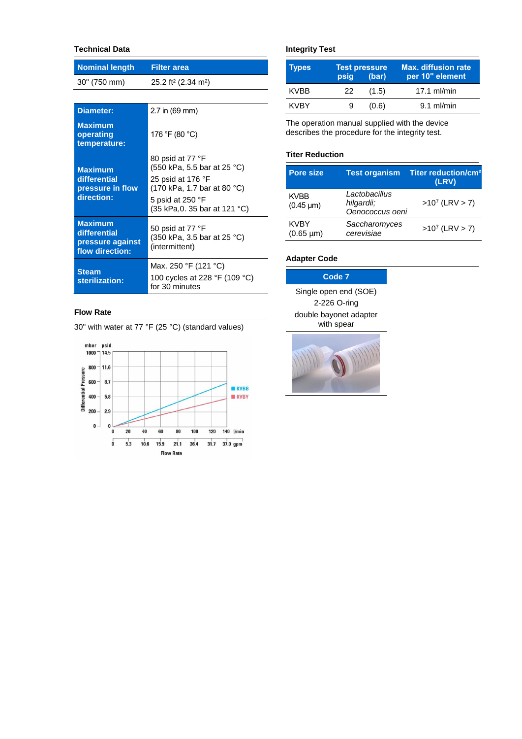# **Technical Data**

| <b>Nominal length</b>                                                 | <b>Filter area</b>                                                                                                                                       |  |
|-----------------------------------------------------------------------|----------------------------------------------------------------------------------------------------------------------------------------------------------|--|
| 30" (750 mm)                                                          | 25.2 ft <sup>2</sup> (2.34 m <sup>2</sup> )                                                                                                              |  |
|                                                                       |                                                                                                                                                          |  |
| Diameter:                                                             | 2.7 in (69 mm)                                                                                                                                           |  |
| <b>Maximum</b><br>operating<br>temperature:                           | 176 °F (80 °C)                                                                                                                                           |  |
| <b>Maximum</b><br>differential<br>pressure in flow<br>direction:      | 80 psid at 77 °F<br>(550 kPa, 5.5 bar at 25 °C)<br>25 psid at 176 °F<br>(170 kPa, 1.7 bar at 80 °C)<br>5 psid at 250 °F<br>(35 kPa, 0. 35 bar at 121 °C) |  |
| <b>Maximum</b><br>differential<br>pressure against<br>flow direction: | 50 psid at 77 °F<br>(350 kPa, 3.5 bar at 25 °C)<br>(intermittent)                                                                                        |  |
| <b>Steam</b><br>sterilization:                                        | Max. 250 °F (121 °C)<br>100 cycles at 228 °F (109 °C)<br>for 30 minutes                                                                                  |  |

## **Flow Rate**

30" with water at 77 °F (25 °C) (standard values)



# **Integrity Test**

| Types       | <b>Test pressure</b><br>(bar)<br>psig |       | <b>Max. diffusion rate</b><br>per 10" element |  |
|-------------|---------------------------------------|-------|-----------------------------------------------|--|
| <b>KVBB</b> | 22.                                   | (1.5) | $17.1$ ml/min                                 |  |
| KVBY        | 9                                     | (0.6) | $9.1$ ml/min                                  |  |

The operation manual supplied with the device describes the procedure for the integrity test.

# **Titer Reduction**

| <b>Pore size</b>                | <b>Test organism</b>                           | Titer reduction/cm <sup>2</sup><br>(LRV) |
|---------------------------------|------------------------------------------------|------------------------------------------|
| <b>KVBB</b><br>$(0.45 \,\mu m)$ | Lactobacillus<br>hilgardii;<br>Oenococcus oeni | $>10^7$ (LRV $> 7$ )                     |
| <b>KVBY</b><br>$(0.65 \mu m)$   | Saccharomyces<br>cerevisiae                    | $>10^7$ (LRV $> 7$ )                     |

# **Adapter Code**

| Code <sub>7</sub>      |  |  |
|------------------------|--|--|
| Single open end (SOE)  |  |  |
| 2-226 O-ring           |  |  |
| double bayonet adapter |  |  |
| with spear             |  |  |

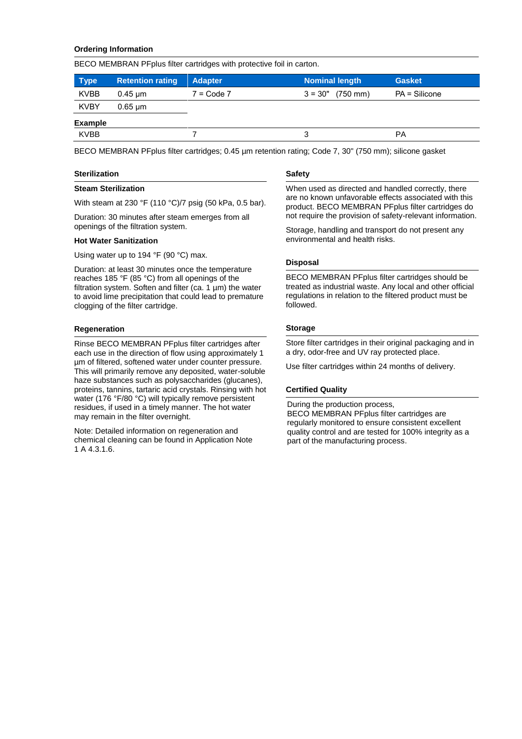## **Ordering Information**

BECO MEMBRAN PFplus filter cartridges with protective foil in carton.

| <b>Type</b>    | <b>Retention rating</b>   | <b>Adapter</b> | <b>Nominal length</b> | <b>Gasket</b> |
|----------------|---------------------------|----------------|-----------------------|---------------|
| <b>KVBB</b>    | $0.45 \text{ µm}$         | $7 = Code 7$   | $3 = 30"$ (750 mm)    | PA = Silicone |
| <b>KVBY</b>    | $0.65 \,\mathrm{\upmu m}$ |                |                       |               |
| <b>Example</b> |                           |                |                       |               |
| <b>KVBB</b>    |                           |                |                       | РA            |

BECO MEMBRAN PFplus filter cartridges; 0.45 µm retention rating; Code 7, 30" (750 mm); silicone gasket

#### **Sterilization**

#### **Steam Sterilization**

With steam at 230 °F (110 °C)/7 psig (50 kPa, 0.5 bar).

Duration: 30 minutes after steam emerges from all openings of the filtration system.

#### **Hot Water Sanitization**

Using water up to 194 °F (90 °C) max.

Duration: at least 30 minutes once the temperature reaches 185 °F (85 °C) from all openings of the filtration system. Soften and filter (ca. 1  $\mu$ m) the water to avoid lime precipitation that could lead to premature clogging of the filter cartridge.

#### **Regeneration**

Rinse BECO MEMBRAN PFplus filter cartridges after each use in the direction of flow using approximately 1 µm of filtered, softened water under counter pressure. This will primarily remove any deposited, water-soluble haze substances such as polysaccharides (glucanes), proteins, tannins, tartaric acid crystals. Rinsing with hot water (176 °F/80 °C) will typically remove persistent residues, if used in a timely manner. The hot water may remain in the filter overnight.

Note: Detailed information on regeneration and chemical cleaning can be found in Application Note 1 A 4.3.1.6.

#### **Safety**

When used as directed and handled correctly, there are no known unfavorable effects associated with this product. BECO MEMBRAN PFplus filter cartridges do not require the provision of safety-relevant information.

Storage, handling and transport do not present any environmental and health risks.

#### **Disposal**

BECO MEMBRAN PFplus filter cartridges should be treated as industrial waste. Any local and other official regulations in relation to the filtered product must be followed.

## **Storage**

Store filter cartridges in their original packaging and in a dry, odor-free and UV ray protected place.

Use filter cartridges within 24 months of delivery.

## **Certified Quality**

During the production process, BECO MEMBRAN PFplus filter cartridges are regularly monitored to ensure consistent excellent quality control and are tested for 100% integrity as a part of the manufacturing process.